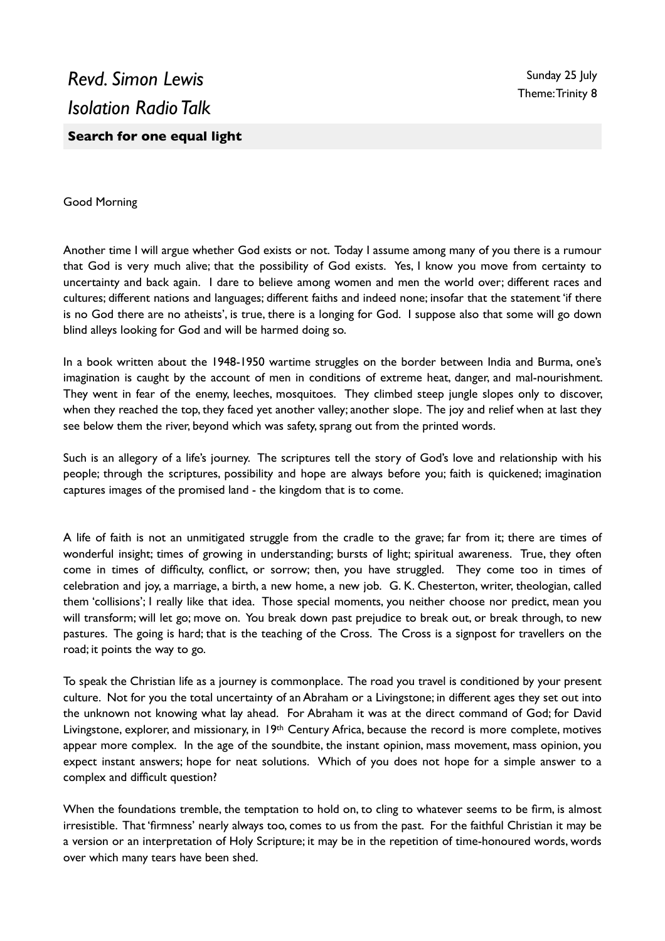## Good Morning

Another time I will argue whether God exists or not. Today I assume among many of you there is a rumour that God is very much alive; that the possibility of God exists. Yes, I know you move from certainty to uncertainty and back again. I dare to believe among women and men the world over; different races and cultures; different nations and languages; different faiths and indeed none; insofar that the statement 'if there is no God there are no atheists', is true, there is a longing for God. I suppose also that some will go down blind alleys looking for God and will be harmed doing so.

In a book written about the 1948-1950 wartime struggles on the border between India and Burma, one's imagination is caught by the account of men in conditions of extreme heat, danger, and mal-nourishment. They went in fear of the enemy, leeches, mosquitoes. They climbed steep jungle slopes only to discover, when they reached the top, they faced yet another valley; another slope. The joy and relief when at last they see below them the river, beyond which was safety, sprang out from the printed words.

Such is an allegory of a life's journey. The scriptures tell the story of God's love and relationship with his people; through the scriptures, possibility and hope are always before you; faith is quickened; imagination captures images of the promised land - the kingdom that is to come.

A life of faith is not an unmitigated struggle from the cradle to the grave; far from it; there are times of wonderful insight; times of growing in understanding; bursts of light; spiritual awareness. True, they often come in times of difficulty, conflict, or sorrow; then, you have struggled. They come too in times of celebration and joy, a marriage, a birth, a new home, a new job. G. K. Chesterton, writer, theologian, called them 'collisions'; I really like that idea. Those special moments, you neither choose nor predict, mean you will transform; will let go; move on. You break down past prejudice to break out, or break through, to new pastures. The going is hard; that is the teaching of the Cross. The Cross is a signpost for travellers on the road; it points the way to go.

To speak the Christian life as a journey is commonplace. The road you travel is conditioned by your present culture. Not for you the total uncertainty of an Abraham or a Livingstone; in different ages they set out into the unknown not knowing what lay ahead. For Abraham it was at the direct command of God; for David Livingstone, explorer, and missionary, in 19<sup>th</sup> Century Africa, because the record is more complete, motives appear more complex. In the age of the soundbite, the instant opinion, mass movement, mass opinion, you expect instant answers; hope for neat solutions. Which of you does not hope for a simple answer to a complex and difficult question?

When the foundations tremble, the temptation to hold on, to cling to whatever seems to be firm, is almost irresistible. That 'firmness' nearly always too, comes to us from the past. For the faithful Christian it may be a version or an interpretation of Holy Scripture; it may be in the repetition of time-honoured words, words over which many tears have been shed.